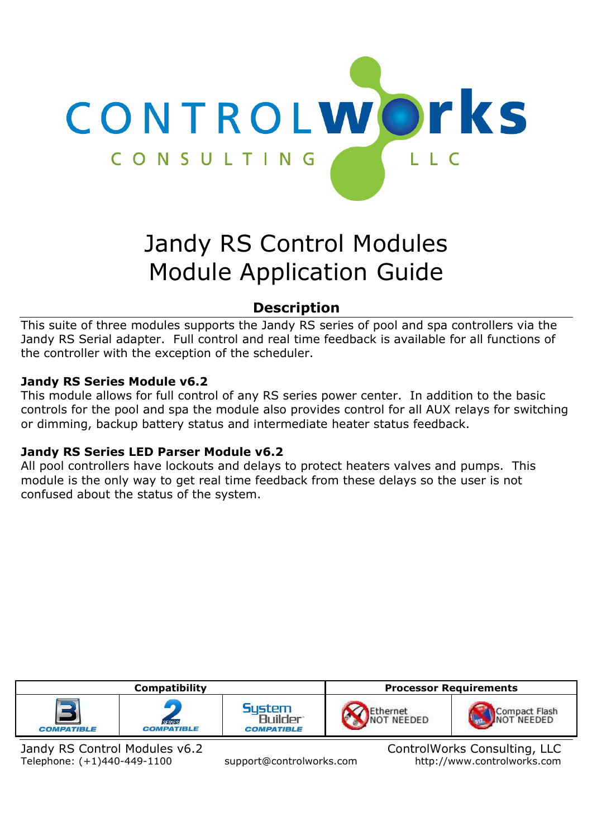

# Jandy RS Control Modules Module Application Guide

# **Description**

This suite of three modules supports the Jandy RS series of pool and spa controllers via the Jandy RS Serial adapter. Full control and real time feedback is available for all functions of the controller with the exception of the scheduler.

### **Jandy RS Series Module v6.2**

This module allows for full control of any RS series power center. In addition to the basic controls for the pool and spa the module also provides control for all AUX relays for switching or dimming, backup battery status and intermediate heater status feedback.

#### **Jandy RS Series LED Parser Module v6.2**

All pool controllers have lockouts and delays to protect heaters valves and pumps. This module is the only way to get real time feedback from these delays so the user is not confused about the status of the system.



Jandy RS Control Modules v6.2 ControlWorks Consulting, LLC Telephone: (+1)440-449-1100 support@controlworks.com http://www.controlworks.com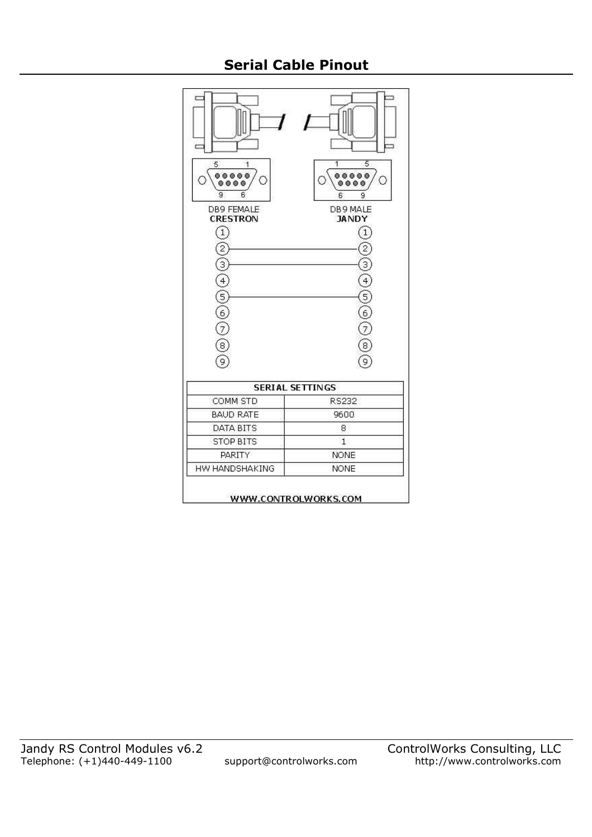# **Serial Cable Pinout**

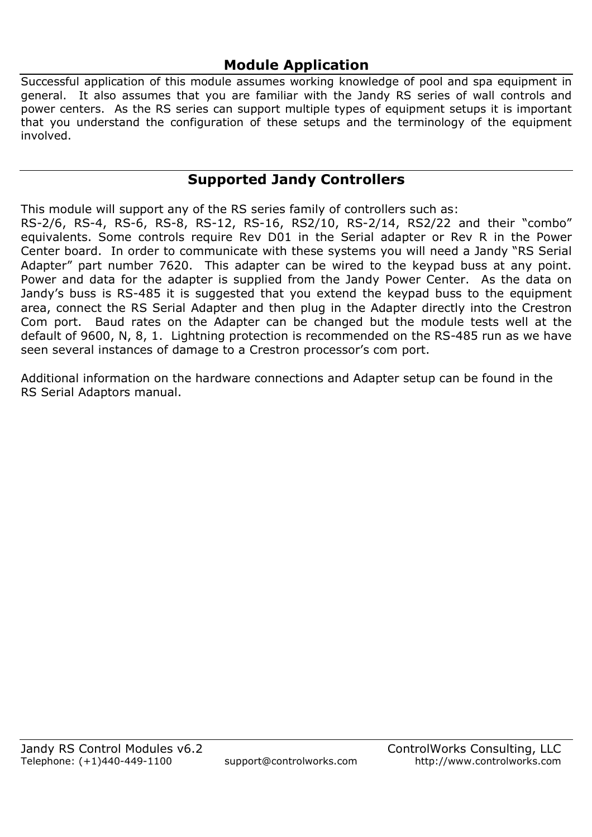# **Module Application**

Successful application of this module assumes working knowledge of pool and spa equipment in general. It also assumes that you are familiar with the Jandy RS series of wall controls and power centers. As the RS series can support multiple types of equipment setups it is important that you understand the configuration of these setups and the terminology of the equipment involved.

## **Supported Jandy Controllers**

This module will support any of the RS series family of controllers such as:

RS-2/6, RS-4, RS-6, RS-8, RS-12, RS-16, RS2/10, RS-2/14, RS2/22 and their "combo" equivalents. Some controls require Rev D01 in the Serial adapter or Rev R in the Power Center board. In order to communicate with these systems you will need a Jandy "RS Serial Adapter" part number 7620. This adapter can be wired to the keypad buss at any point. Power and data for the adapter is supplied from the Jandy Power Center. As the data on Jandy's buss is RS-485 it is suggested that you extend the keypad buss to the equipment area, connect the RS Serial Adapter and then plug in the Adapter directly into the Crestron Com port. Baud rates on the Adapter can be changed but the module tests well at the default of 9600, N, 8, 1. Lightning protection is recommended on the RS-485 run as we have seen several instances of damage to a Crestron processor's com port.

Additional information on the hardware connections and Adapter setup can be found in the RS Serial Adaptors manual.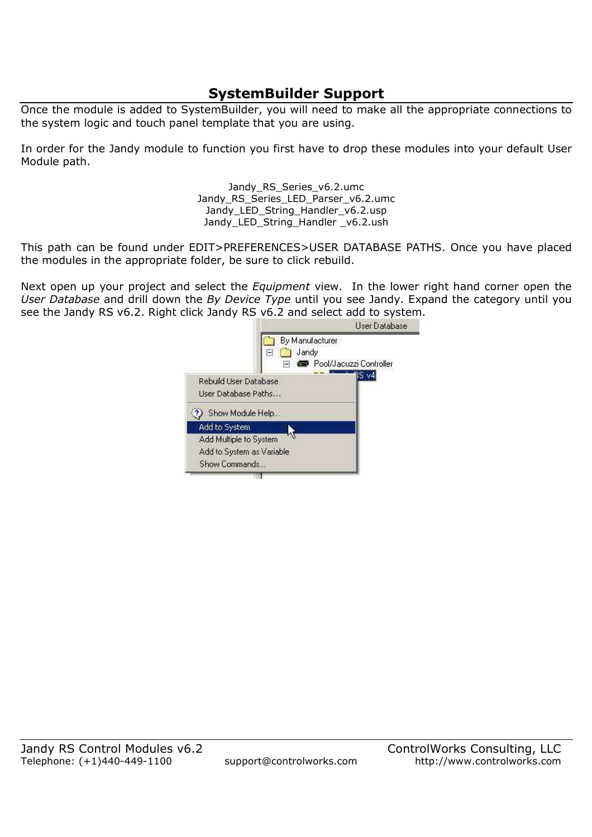# **SystemBuilder Support**

Once the module is added to SystemBuilder, you will need to make all the appropriate connections to the system logic and touch panel template that you are using.

In order for the Jandy module to function you first have to drop these modules into your default User Module path.

> Jandy RS Series v6.2.umc Jandy RS Series LED Parser v6.2.umc Jandy\_LED\_String\_Handler\_v6.2.usp Jandy\_LED\_String\_Handler \_v6.2.ush

This path can be found under EDIT>PREFERENCES>USER DATABASE PATHS. Once you have placed the modules in the appropriate folder, be sure to click rebuild.

Next open up your project and select the *Equipment* view. In the lower right hand corner open the *User Database* and drill down the *By Device Type* until you see Jandy. Expand the category until you see the Jandy RS v6.2. Right click Jandy RS v6.2 and select add to system.

|                                                                      | User Database                                       |
|----------------------------------------------------------------------|-----------------------------------------------------|
|                                                                      | By Manufacturer<br>Jandy<br>Pool/Jacuzzi Controller |
| Rebuild User Database<br>User Database Paths                         | S v4                                                |
| Show Module Help                                                     |                                                     |
| Add to System                                                        |                                                     |
| Add Multiple to System<br>Add to System as Variable<br>Show Commands |                                                     |
|                                                                      |                                                     |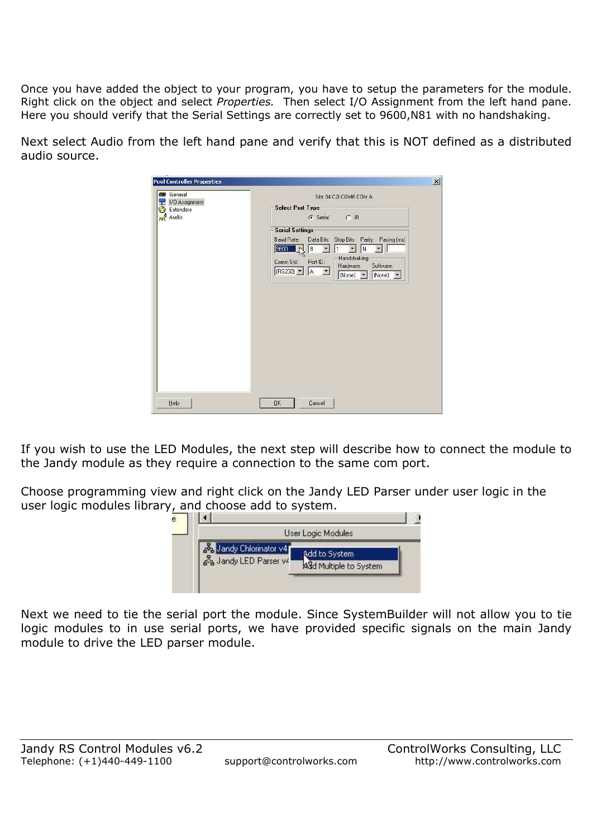Once you have added the object to your program, you have to setup the parameters for the module. Right click on the object and select *Properties.* Then select I/O Assignment from the left hand pane. Here you should verify that the Serial Settings are correctly set to 9600,N81 with no handshaking.

Next select Audio from the left hand pane and verify that this is NOT defined as a distributed audio source.

| General<br>1/0 Assignment | Slot 04 C2I-COM6 COM A                                           |
|---------------------------|------------------------------------------------------------------|
| Extenders<br>r.           | <b>Select Port Type</b>                                          |
| <b>nn</b> Audio           | G Serial C IR                                                    |
|                           | <b>Serial Settings</b>                                           |
|                           | Stop Bits: Parity: Pacing (ms)<br>Baud Rate:<br>Data Bits:       |
|                           | 9600<br> 8 <br>N<br>1<br>$\left  \cdot \right $<br>$\rightarrow$ |
|                           | Handshaking:<br>Comm Std:<br>Port ID:<br>Software:<br>Hardware:  |
|                           | $(RS232)$ $\bullet$ $\bullet$<br>None) • None) •                 |
|                           |                                                                  |
|                           |                                                                  |
|                           |                                                                  |
|                           |                                                                  |
|                           |                                                                  |
|                           |                                                                  |
|                           |                                                                  |
|                           |                                                                  |
|                           |                                                                  |
|                           |                                                                  |
|                           |                                                                  |
|                           |                                                                  |
|                           |                                                                  |
|                           |                                                                  |

If you wish to use the LED Modules, the next step will describe how to connect the module to the Jandy module as they require a connection to the same com port.

Choose programming view and right click on the Jandy LED Parser under user logic in the user logic modules library, and choose add to system.

|                                            | User Logic Modules     |
|--------------------------------------------|------------------------|
| Jandy Chlorinator v4<br>andy LED Parser ve | Add to System          |
|                                            | ASd Multiple to System |

Next we need to tie the serial port the module. Since SystemBuilder will not allow you to tie logic modules to in use serial ports, we have provided specific signals on the main Jandy module to drive the LED parser module.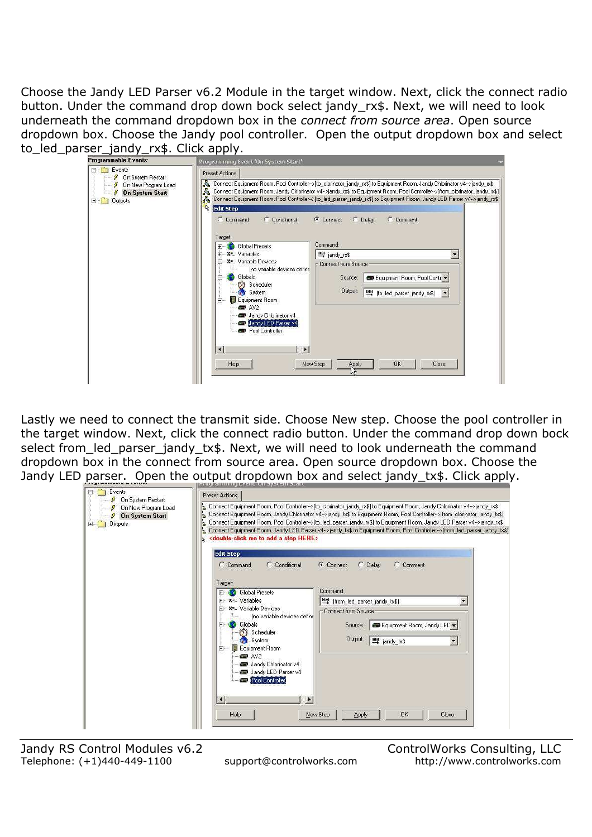Choose the Jandy LED Parser v6.2 Module in the target window. Next, click the connect radio button. Under the command drop down bock select jandy\_rx\$. Next, we will need to look underneath the command dropdown box in the *connect from source area*. Open source dropdown box. Choose the Jandy pool controller. Open the output dropdown box and select to led parser jandy rx\$. Click apply.

| Preset Actions                                                                                                                                                                                                                                                                                                                                                                                                       |                                                                                                                            |
|----------------------------------------------------------------------------------------------------------------------------------------------------------------------------------------------------------------------------------------------------------------------------------------------------------------------------------------------------------------------------------------------------------------------|----------------------------------------------------------------------------------------------------------------------------|
| ക്ക് Connect Equipment Room, Pool Controller⊷>[to_clorinator_jandy_rx\$] to Equipment Room, Jandy Chlorinator v4-->jandy_rx\$<br>$\mathbb{R}$<br>Connect Equipment Room, Jandy Chlorinator v4->jandy_tx\$ to Equipment Room, Pool Controller->[from_clorinator_jandy_tx\$]<br>$\mathbb{R}$<br>Connect Equipment Room, Pool Controller->[to_led_parser_jandy_rx\$] to Equipment Room, Jandy LED Parser v4->jandy_rx\$ |                                                                                                                            |
| C Comment<br>C Command<br>Connect<br>$\cap$ Delay<br>C Conditional<br>Target:                                                                                                                                                                                                                                                                                                                                        |                                                                                                                            |
| Command:<br><b>Global Presets</b>                                                                                                                                                                                                                                                                                                                                                                                    |                                                                                                                            |
| - X <sup>=</sup> Variable Devices<br>⊟                                                                                                                                                                                                                                                                                                                                                                               |                                                                                                                            |
| Ino variable devices define<br>Globals<br>Equipment Room, Pool Contr v<br>Source:<br>Scheduler<br>63<br>Output:<br><b>System</b><br>to_led_parser_jandy_rx\$]<br>Equipment Room<br>Ė                                                                                                                                                                                                                                 |                                                                                                                            |
| Jandy Chlorinator v4<br>Jandy LED Parser v4<br>Pool Controller                                                                                                                                                                                                                                                                                                                                                       |                                                                                                                            |
| $\bullet$<br><b>OK</b><br>New Step<br>Close<br>Help<br><b>Apply</b>                                                                                                                                                                                                                                                                                                                                                  |                                                                                                                            |
|                                                                                                                                                                                                                                                                                                                                                                                                                      | R.<br><b>Edit Step</b><br>F-X <sup>=</sup> Variables<br>leigt jandy_rx\$<br>۳<br>Connect from Source<br>$\blacksquare$ AV2 |

Lastly we need to connect the transmit side. Choose New step. Choose the pool controller in the target window. Next, click the connect radio button. Under the command drop down bock select from\_led\_parser\_jandy\_tx\$. Next, we will need to look underneath the command dropdown box in the connect from source area. Open source dropdown box. Choose the Jandy LED parser. Open the output dropdown box and select jandy tx\$. Click apply.

|                                                                      | видатанның виен. онауздан элап                                                                                                                                                                                                                                                                                                                                                                                                                                                                                                                                                                           |
|----------------------------------------------------------------------|----------------------------------------------------------------------------------------------------------------------------------------------------------------------------------------------------------------------------------------------------------------------------------------------------------------------------------------------------------------------------------------------------------------------------------------------------------------------------------------------------------------------------------------------------------------------------------------------------------|
| Events<br>On System Restart                                          | Preset Actions                                                                                                                                                                                                                                                                                                                                                                                                                                                                                                                                                                                           |
| On New Program Load<br><b>On System Start</b><br><b>Outputs</b><br>圧 | Connect Equipment Room, Pool Controller->(to_clorinator_jandy_rx\$) to Equipment Room, Jandy Chlorinator v4->jandy_rx\$<br>Connect Equipment Room, Jandy Chlorinator v4->jandy tx\$ to Equipment Room, Pool Controller->[from clorinator jandy tx\$]<br>Connect Equipment Room, Pool Controller->[to led parser jandy rx\$] to Equipment Room, Jandy LED Parser v4->jandy rx\$<br>Connect Equipment Room, Jandy LED Parser v4->jandy tx\$ to Equipment Room, Pool Controller->[from led_parser_jandy_tx\$]<br><double-click a="" add="" here="" me="" step="" to=""><br/><b>Edit Step</b></double-click> |
|                                                                      | C Command<br>C Conditional<br>C Connect<br>$C$ Delay<br>C Comment<br>Target:<br>Command:<br><b>Global Presets</b><br>Fi X <sup>=</sup> Variables<br><sup>1006</sup> [from_led_parser_jandy_tx\$]<br>- Xª Variable Devices<br>白<br>Connect from Source<br>Ino variable devices define<br>Globals<br>Equipment Room, Jandy LED v<br>Source:<br>Scheduler<br>Output:<br><b>System</b><br>total jandy_tx\$<br>$\overline{\phantom{a}}$<br>Equipment Room<br>Ė<br>$\equiv$ AV2                                                                                                                                |
|                                                                      | Jandy Chlorinator v4<br>Jandy LED Parser v4<br>Pool Controller<br>$\blacktriangleleft$<br>$\cdot$<br>Help<br><b>OK</b><br>Close<br>New Step<br>Apply                                                                                                                                                                                                                                                                                                                                                                                                                                                     |

Jandy RS Control Modules v6.2<br>
Telephone: (+1)440-449-1100 support@controlworks.com http://www.controlworks.com Telephone: (+1)440-449-1100 support@controlworks.com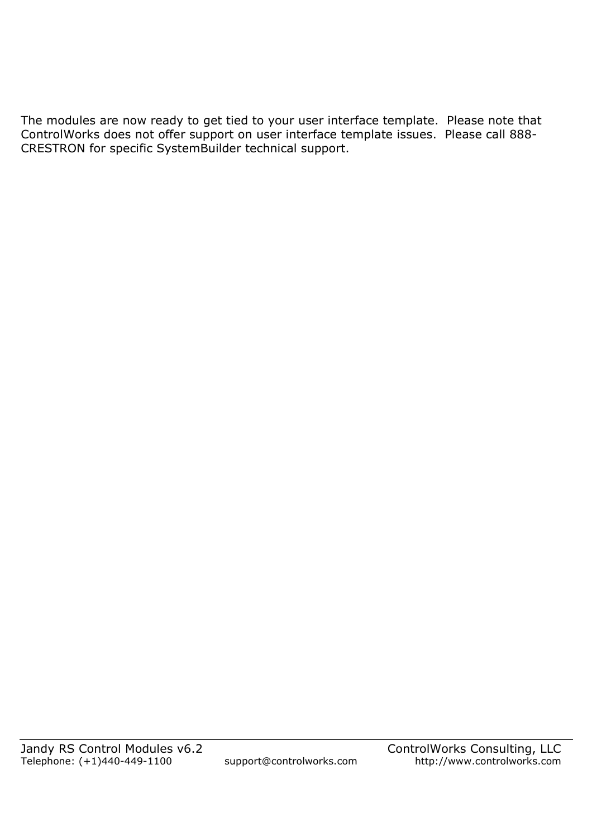The modules are now ready to get tied to your user interface template. Please note that ControlWorks does not offer support on user interface template issues. Please call 888- CRESTRON for specific SystemBuilder technical support.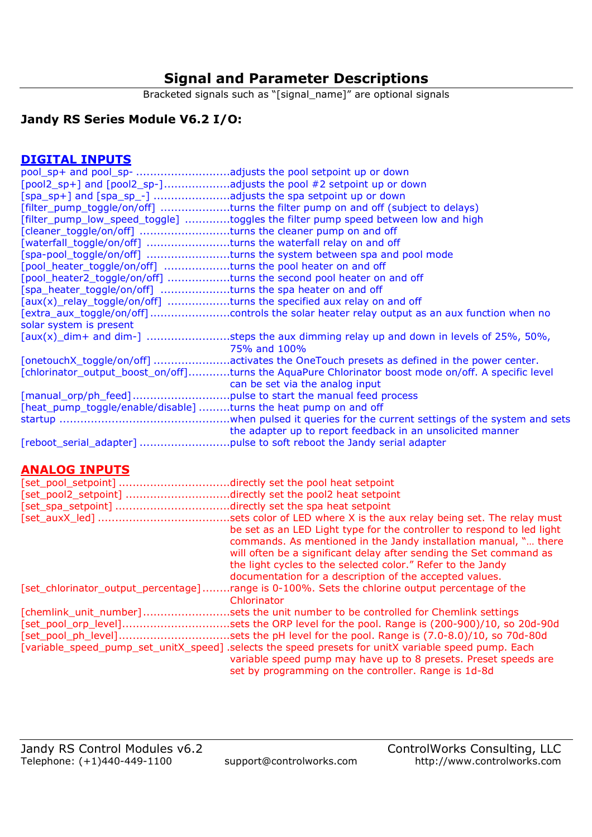# **Signal and Parameter Descriptions**

Bracketed signals such as "[signal\_name]" are optional signals

## **Jandy RS Series Module V6.2 I/O:**

## **DIGITAL INPUTS**

| [pool2_sp+] and [pool2_sp-]adjusts the pool #2 setpoint up or down    |                                                                                                     |
|-----------------------------------------------------------------------|-----------------------------------------------------------------------------------------------------|
| [spa_sp+] and [spa_sp_-] adjusts the spa setpoint up or down          |                                                                                                     |
|                                                                       | [filter_pump_toggle/on/off] turns the filter pump on and off (subject to delays)                    |
|                                                                       | [filter_pump_low_speed_toggle] toggles the filter pump speed between low and high                   |
| [cleaner_toggle/on/off] turns the cleaner pump on and off             |                                                                                                     |
| [waterfall_toggle/on/off] turns the waterfall relay on and off        |                                                                                                     |
|                                                                       | [spa-pool_toggle/on/off] turns the system between spa and pool mode                                 |
| [pool_heater_toggle/on/off] turns the pool heater on and off          |                                                                                                     |
| [pool_heater2_toggle/on/off] turns the second pool heater on and off  |                                                                                                     |
| [spa_heater_toggle/on/off] turns the spa heater on and off            |                                                                                                     |
| [aux(x)_relay_toggle/on/off] turns the specified aux relay on and off |                                                                                                     |
|                                                                       |                                                                                                     |
| solar system is present                                               |                                                                                                     |
|                                                                       | $[aux(x)]$ dim+ and dim- $]$ steps the aux dimming relay up and down in levels of 25%, 50%,         |
|                                                                       | 75% and 100%                                                                                        |
|                                                                       | [onetouchX_toggle/on/off] activates the OneTouch presets as defined in the power center.            |
|                                                                       | [chlorinator_output_boost_on/off]turns the AquaPure Chlorinator boost mode on/off. A specific level |
|                                                                       | can be set via the analog input                                                                     |
|                                                                       |                                                                                                     |
| [heat_pump_toggle/enable/disable] turns the heat pump on and off      |                                                                                                     |
|                                                                       |                                                                                                     |
|                                                                       | the adapter up to report feedback in an unsolicited manner                                          |
|                                                                       |                                                                                                     |

#### **ANALOG INPUTS**

| [set_pool_setpoint]                 | directly set the pool heat setpoint.                                                                 |
|-------------------------------------|------------------------------------------------------------------------------------------------------|
| [set_pool2_setpoint]                | directly set the pool2 heat setpoint.                                                                |
| [set_spa_setpoint]                  | directly set the spa heat setpoint.                                                                  |
|                                     | sets color of LED where X is the aux relay being set. The relay must                                 |
|                                     | be set as an LED Light type for the controller to respond to led light                               |
|                                     | commands. As mentioned in the Jandy installation manual, " there                                     |
|                                     | will often be a significant delay after sending the Set command as                                   |
|                                     | the light cycles to the selected color." Refer to the Jandy                                          |
|                                     | documentation for a description of the accepted values.                                              |
| [set_chlorinator_output_percentage] | range is 0-100%. Sets the chlorine output percentage of the                                          |
|                                     | Chlorinator                                                                                          |
| [chemlink unit number]              | sets the unit number to be controlled for Chemlink settings                                          |
| [set_pool_orp_level]                | sets the ORP level for the pool. Range is (200-900)/10, so 20d-90d.                                  |
| [set_pool_ph_level]                 | sets the pH level for the pool. Range is (7.0-8.0)/10, so 70d-80d                                    |
|                                     | [variable_speed_pump_set_unitX_speed] .selects the speed presets for unitX variable speed pump. Each |
|                                     | variable speed pump may have up to 8 presets. Preset speeds are                                      |
|                                     | set by programming on the controller. Range is 1d-8d                                                 |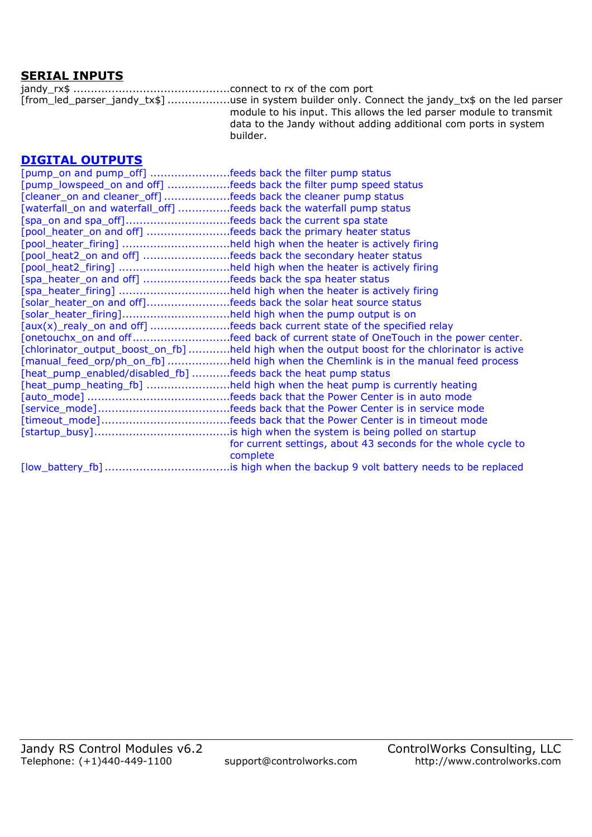#### **SERIAL INPUTS**

jandy\_rx\$ .............................................connect to rx of the com port [from\_led\_parser\_jandy\_tx\$] ..................use in system builder only. Connect the jandy\_tx\$ on the led parser module to his input. This allows the led parser module to transmit data to the Jandy without adding additional com ports in system builder.

#### **DIGITAL OUTPUTS**

| [pump_on and pump_off] feeds back the filter pump status              |                                                                                                |
|-----------------------------------------------------------------------|------------------------------------------------------------------------------------------------|
|                                                                       | [pump_lowspeed_on and off] feeds back the filter pump speed status                             |
| [cleaner_on and cleaner_off] feeds back the cleaner pump status       |                                                                                                |
| [waterfall_on and waterfall_off] feeds back the waterfall pump status |                                                                                                |
|                                                                       |                                                                                                |
| [pool_heater_on and off] feeds back the primary heater status         |                                                                                                |
|                                                                       | [pool_heater_firing] held high when the heater is actively firing                              |
|                                                                       | [pool_heat2_on and off] feeds back the secondary heater status                                 |
|                                                                       | [pool_heat2_firing] held high when the heater is actively firing                               |
| [spa_heater_on and off] feeds back the spa heater status              |                                                                                                |
|                                                                       | [spa_heater_firing] held high when the heater is actively firing                               |
|                                                                       | [solar_heater_on and off]feeds back the solar heat source status                               |
| [solar_heater_firing]held high when the pump output is on             |                                                                                                |
|                                                                       | [aux(x)_realy_on and off] feeds back current state of the specified relay                      |
|                                                                       | [onetouchx_on and offfeed back of current state of OneTouch in the power center.               |
|                                                                       | [chlorinator_output_boost_on_fb] held high when the output boost for the chlorinator is active |
|                                                                       | [manual_feed_orp/ph_on_fb] held high when the Chemlink is in the manual feed process           |
| [heat_pump_enabled/disabled_fb] feeds back the heat pump status       |                                                                                                |
|                                                                       | [heat_pump_heating_fb] held high when the heat pump is currently heating                       |
|                                                                       |                                                                                                |
|                                                                       |                                                                                                |
|                                                                       |                                                                                                |
|                                                                       |                                                                                                |
|                                                                       | for current settings, about 43 seconds for the whole cycle to                                  |
|                                                                       | complete                                                                                       |
|                                                                       |                                                                                                |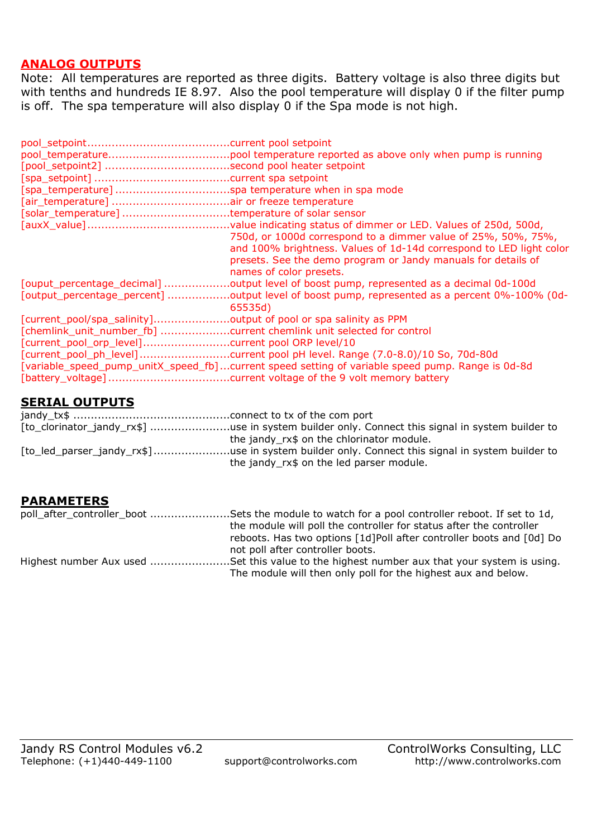#### **ANALOG OUTPUTS**

Note: All temperatures are reported as three digits. Battery voltage is also three digits but with tenths and hundreds IE 8.97. Also the pool temperature will display 0 if the filter pump is off. The spa temperature will also display 0 if the Spa mode is not high.

|                                                                  | current spa setpoint                                                                                                                                                                                                                                                                                 |
|------------------------------------------------------------------|------------------------------------------------------------------------------------------------------------------------------------------------------------------------------------------------------------------------------------------------------------------------------------------------------|
| [spa_temperature]                                                | spa temperature when in spa mode.                                                                                                                                                                                                                                                                    |
| [air_temperature]                                                | air or freeze temperature.                                                                                                                                                                                                                                                                           |
| [solar_temperature]                                              | .temperature of solar sensor.                                                                                                                                                                                                                                                                        |
|                                                                  | .value indicating status of dimmer or LED. Values of 250d, 500d,<br>750d, or 1000d correspond to a dimmer value of 25%, 50%, 75%,<br>and 100% brightness. Values of 1d-14d correspond to LED light color<br>presets. See the demo program or Jandy manuals for details of<br>names of color presets. |
|                                                                  | [ouput_percentage_decimal] output level of boost pump, represented as a decimal 0d-100d                                                                                                                                                                                                              |
|                                                                  | [output_percentage_percent] output level of boost pump, represented as a percent 0%-100% (0d-<br>65535d)                                                                                                                                                                                             |
| [current_pool/spa_salinity]output of pool or spa salinity as PPM |                                                                                                                                                                                                                                                                                                      |
|                                                                  | [chemlink_unit_number_fb] current chemlink unit selected for control                                                                                                                                                                                                                                 |
|                                                                  |                                                                                                                                                                                                                                                                                                      |
|                                                                  | [current_pool_ph_level]current pool pH level. Range (7.0-8.0)/10 So, 70d-80d                                                                                                                                                                                                                         |
|                                                                  | [variable_speed_pump_unitX_speed_fb]current speed setting of variable speed pump. Range is 0d-8d                                                                                                                                                                                                     |

### **SERIAL OUTPUTS**

| [to_clorinator_jandy_rx\$] use in system builder only. Connect this signal in system builder to |
|-------------------------------------------------------------------------------------------------|
| the jandy rx\$ on the chlorinator module.                                                       |
| [to led parser_jandy_rx\$]use in system builder only. Connect this signal in system builder to  |
| the jandy_rx\$ on the led parser module.                                                        |

#### **PARAMETERS**

| poll_after_controller_boot Sets the module to watch for a pool controller reboot. If set to 1d, |  |
|-------------------------------------------------------------------------------------------------|--|
| the module will poll the controller for status after the controller                             |  |
| reboots. Has two options [1d]Poll after controller boots and [0d] Do                            |  |
| not poll after controller boots.                                                                |  |
| Highest number Aux used Set this value to the highest number aux that your system is using.     |  |
| The module will then only poll for the highest aux and below.                                   |  |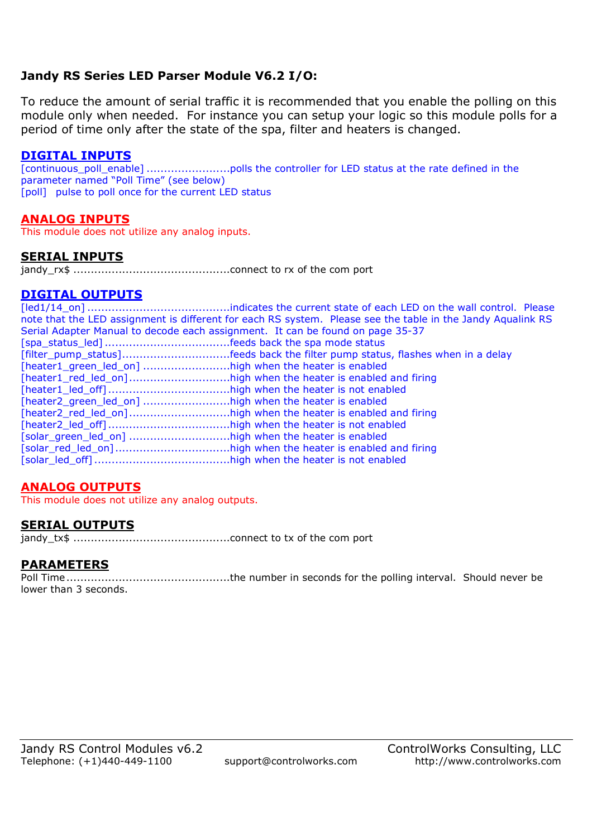## **Jandy RS Series LED Parser Module V6.2 I/O:**

To reduce the amount of serial traffic it is recommended that you enable the polling on this module only when needed. For instance you can setup your logic so this module polls for a period of time only after the state of the spa, filter and heaters is changed.

#### **DIGITAL INPUTS**

[continuous\_poll\_enable] ........................polls the controller for LED status at the rate defined in the parameter named "Poll Time" (see below) [poll] pulse to poll once for the current LED status

#### **ANALOG INPUTS**

This module does not utilize any analog inputs.

#### **SERIAL INPUTS**

jandy\_rx\$ .............................................connect to rx of the com port

#### **DIGITAL OUTPUTS**

[led1/14\_on] .........................................indicates the current state of each LED on the wall control. Please note that the LED assignment is different for each RS system. Please see the table in the Jandy Aqualink RS Serial Adapter Manual to decode each assignment. It can be found on page 35-37 [spa\_status\_led] ....................................feeds back the spa mode status [filter\_pump\_status] ...............................feeds back the filter pump status, flashes when in a delay [heater1\_green\_led\_on] ...........................high when the heater is enabled [heater1\_red\_led\_on] .............................high when the heater is enabled and firing [heater1\_led\_off] ...................................high when the heater is not enabled [heater2\_green\_led\_on] .............................high when the heater is enabled [heater2\_red\_led\_on] .............................high when the heater is enabled and firing [heater2\_led\_off] ...................................high when the heater is not enabled [solar\_green\_led\_on] .............................high when the heater is enabled [solar\_red\_led\_on] .................................high when the heater is enabled and firing [solar\_led\_off] .......................................high when the heater is not enabled

## **ANALOG OUTPUTS**

This module does not utilize any analog outputs.

#### **SERIAL OUTPUTS**

jandy\_tx\$ .............................................connect to tx of the com port

## **PARAMETERS**

Poll Time ...............................................the number in seconds for the polling interval. Should never be lower than 3 seconds.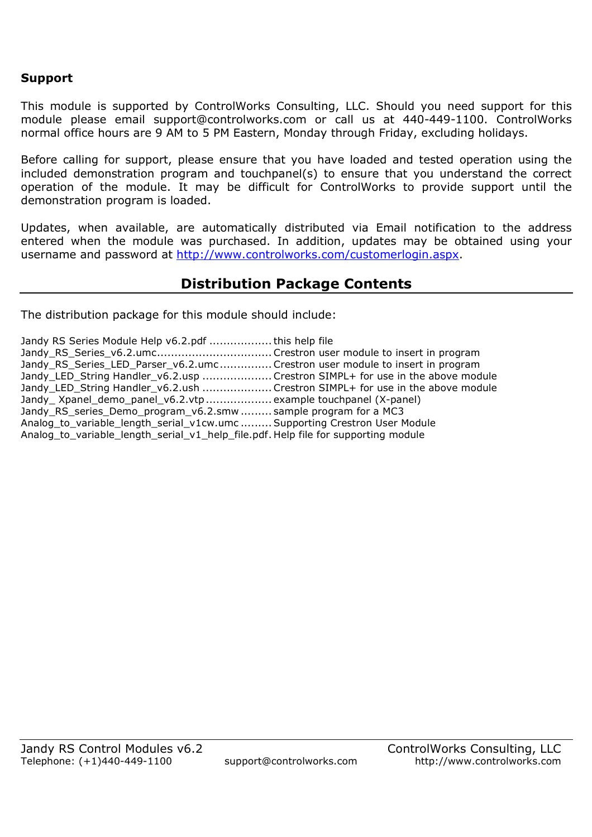#### **Support**

This module is supported by ControlWorks Consulting, LLC. Should you need support for this module please email support@controlworks.com or call us at 440-449-1100. ControlWorks normal office hours are 9 AM to 5 PM Eastern, Monday through Friday, excluding holidays.

Before calling for support, please ensure that you have loaded and tested operation using the included demonstration program and touchpanel(s) to ensure that you understand the correct operation of the module. It may be difficult for ControlWorks to provide support until the demonstration program is loaded.

Updates, when available, are automatically distributed via Email notification to the address entered when the module was purchased. In addition, updates may be obtained using your username and password at http://www.controlworks.com/customerlogin.aspx.

## **Distribution Package Contents**

The distribution package for this module should include:

| Jandy RS Series Module Help v6.2.pdf  this help file                               |  |
|------------------------------------------------------------------------------------|--|
| Jandy_RS_Series_v6.2.umcCrestron user module to insert in program                  |  |
| Jandy_RS_Series_LED_Parser_v6.2.umcCrestron user module to insert in program       |  |
| Jandy_LED_String Handler_v6.2.usp  Crestron SIMPL+ for use in the above module     |  |
| Jandy LED String Handler v6.2.ush Crestron SIMPL+ for use in the above module      |  |
| Jandy_Xpanel_demo_panel_v6.2.vtp  example touchpanel (X-panel)                     |  |
| Jandy RS series Demo program v6.2.smw  sample program for a MC3                    |  |
| Analog_to_variable_length_serial_v1cw.umc  Supporting Crestron User Module         |  |
| Analog_to_variable_length_serial_v1_help_file.pdf. Help file for supporting module |  |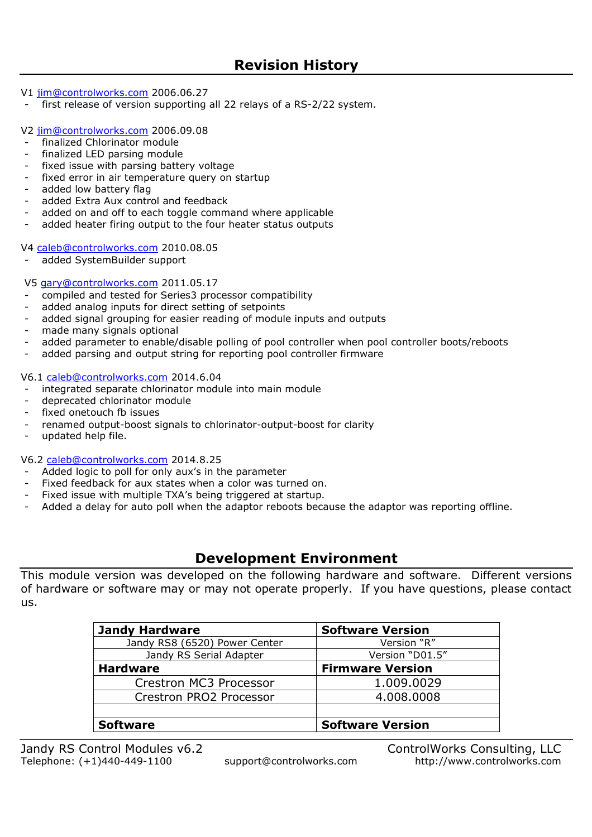V1 jim@controlworks.com 2006.06.27

first release of version supporting all 22 relays of a RS-2/22 system.

V2 jim@controlworks.com 2006.09.08

- finalized Chlorinator module
- finalized LED parsing module
- fixed issue with parsing battery voltage
- fixed error in air temperature query on startup
- added low battery flag
- added Extra Aux control and feedback
- added on and off to each toggle command where applicable
- added heater firing output to the four heater status outputs

V4 caleb@controlworks.com 2010.08.05

added SystemBuilder support

V5 gary@controlworks.com 2011.05.17

- compiled and tested for Series3 processor compatibility
- added analog inputs for direct setting of setpoints
- added signal grouping for easier reading of module inputs and outputs
- made many signals optional
- added parameter to enable/disable polling of pool controller when pool controller boots/reboots
- added parsing and output string for reporting pool controller firmware

V6.1 caleb@controlworks.com 2014.6.04

- integrated separate chlorinator module into main module
- deprecated chlorinator module
- fixed onetouch fb issues
- renamed output-boost signals to chlorinator-output-boost for clarity
- updated help file.

V6.2 caleb@controlworks.com 2014.8.25

- Added logic to poll for only aux's in the parameter
- Fixed feedback for aux states when a color was turned on.
- Fixed issue with multiple TXA's being triggered at startup.
- Added a delay for auto poll when the adaptor reboots because the adaptor was reporting offline.

## **Development Environment**

This module version was developed on the following hardware and software. Different versions of hardware or software may or may not operate properly. If you have questions, please contact us.

| <b>Jandy Hardware</b>         | <b>Software Version</b> |
|-------------------------------|-------------------------|
| Jandy RS8 (6520) Power Center | Version "R"             |
| Jandy RS Serial Adapter       | Version "D01.5"         |
| <b>Hardware</b>               | <b>Firmware Version</b> |
| Crestron MC3 Processor        | 1.009.0029              |
| Crestron PRO2 Processor       | 4.008.0008              |
|                               |                         |
| <b>Software</b>               | <b>Software Version</b> |

Jandy RS Control Modules v6.2 ControlWorks Consulting, LLC Telephone: (+1)440-449-1100 support@controlworks.com http://www.controlworks.com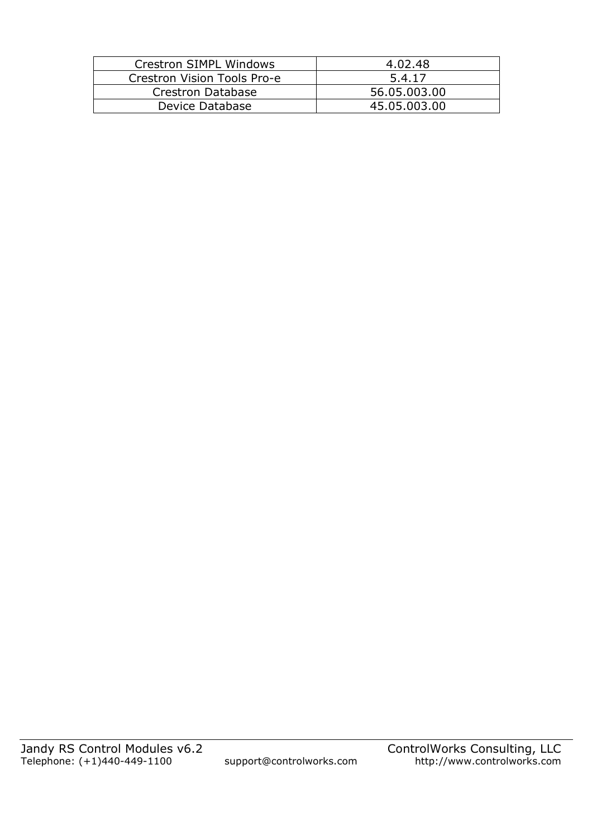| Crestron SIMPL Windows      | 4.02.48      |
|-----------------------------|--------------|
| Crestron Vision Tools Pro-e | 5.4.17       |
| Crestron Database           | 56.05.003.00 |
| Device Database             | 45.05.003.00 |